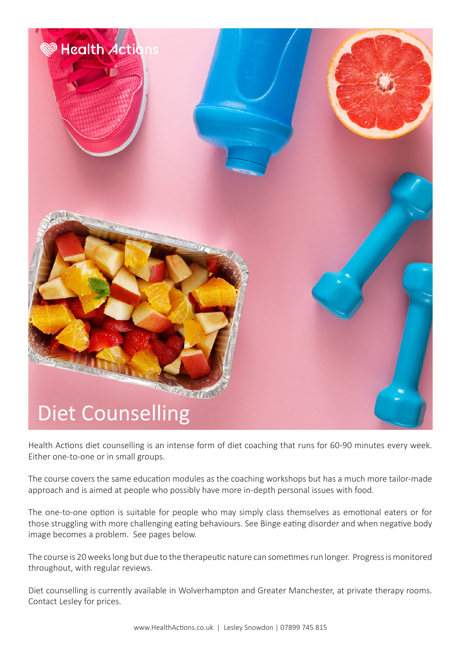

Health Actions diet counselling is an intense form of diet coaching that runs for 60-90 minutes every week. Either one-to-one or in small groups.

The course covers the same education modules as the coaching workshops but has a much more tailor-made approach and is aimed at people who possibly have more in-depth personal issues with food.

The one-to-one option is suitable for people who may simply class themselves as emotional eaters or for those struggling with more challenging eating behaviours. See Binge eating disorder and when negative body image becomes a problem. See pages below.

The course is 20 weeks long but due to the therapeutic nature can sometimes run longer. Progress is monitored throughout, with regular reviews.

Diet counselling is currently available in Wolverhampton and Greater Manchester, at private therapy rooms. Contact Lesley for prices.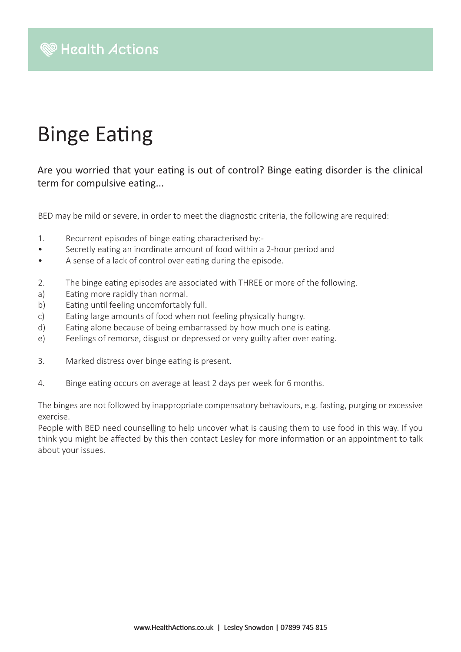## Binge Eating

Are you worried that your eating is out of control? Binge eating disorder is the clinical term for compulsive eating...

BED may be mild or severe, in order to meet the diagnostic criteria, the following are required:

- 1. Recurrent episodes of binge eating characterised by:-
- Secretly eating an inordinate amount of food within a 2-hour period and
- A sense of a lack of control over eating during the episode.
- 2. The binge eating episodes are associated with THREE or more of the following.
- a) Eating more rapidly than normal.
- b) Eating until feeling uncomfortably full.
- c) Eating large amounts of food when not feeling physically hungry.
- d) Eating alone because of being embarrassed by how much one is eating.
- e) Feelings of remorse, disgust or depressed or very guilty after over eating.
- 3. Marked distress over binge eating is present.
- 4. Binge eating occurs on average at least 2 days per week for 6 months.

The binges are not followed by inappropriate compensatory behaviours, e.g. fasting, purging or excessive exercise.

People with BED need counselling to help uncover what is causing them to use food in this way. If you think you might be affected by this then contact Lesley for more information or an appointment to talk about your issues.